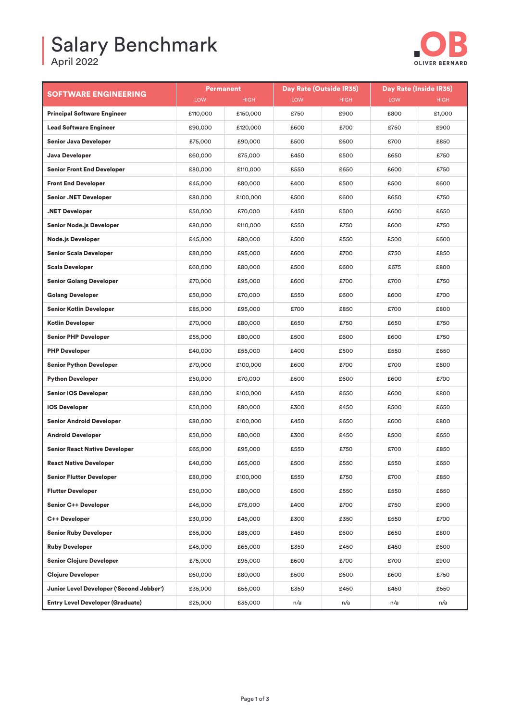## Salary Benchmark

April 2022



| <b>SOFTWARE ENGINEERING</b>              | Permanent  |             | Day Rate (Outside IR35) |             | Day Rate (Inside IR35) |        |
|------------------------------------------|------------|-------------|-------------------------|-------------|------------------------|--------|
|                                          | <b>LOW</b> | <b>HIGH</b> | <b>LOW</b>              | <b>HIGH</b> | <b>LOW</b>             | HIGH   |
| <b>Principal Software Engineer</b>       | £110,000   | £150,000    | £750                    | £900        | £800                   | £1,000 |
| <b>Lead Software Engineer</b>            | £90,000    | £120,000    | £600                    | £700        | £750                   | £900   |
| <b>Senior Java Developer</b>             | £75,000    | £90,000     | £500                    | £600        | £700                   | £850   |
| Java Developer                           | £60,000    | £75,000     | £450                    | £500        | £650                   | £750   |
| <b>Senior Front End Developer</b>        | £80,000    | £110,000    | £550                    | £650        | £600                   | £750   |
| <b>Front End Developer</b>               | £45,000    | £80,000     | £400                    | £500        | £500                   | £600   |
| <b>Senior .NET Developer</b>             | £80,000    | £100,000    | £500                    | £600        | £650                   | £750   |
| NET Developer.                           | £50,000    | £70,000     | £450                    | £500        | £600                   | £650   |
| <b>Senior Node.js Developer</b>          | £80,000    | £110,000    | £550                    | £750        | £600                   | £750   |
| <b>Node.js Developer</b>                 | £45,000    | £80,000     | £500                    | £550        | £500                   | £600   |
| <b>Senior Scala Developer</b>            | £80,000    | £95,000     | £600                    | £700        | £750                   | £850   |
| <b>Scala Developer</b>                   | £60,000    | £80,000     | £500                    | £600        | £675                   | £800   |
| <b>Senior Golang Developer</b>           | £70,000    | £95,000     | £600                    | £700        | £700                   | £750   |
| <b>Golang Developer</b>                  | £50,000    | £70,000     | £550                    | £600        | £600                   | £700   |
| <b>Senior Kotlin Developer</b>           | £85,000    | £95,000     | £700                    | £850        | £700                   | £800   |
| <b>Kotlin Developer</b>                  | £70,000    | £80,000     | £650                    | £750        | £650                   | £750   |
| <b>Senior PHP Developer</b>              | £55,000    | £80,000     | £500                    | £600        | £600                   | £750   |
| <b>PHP Developer</b>                     | £40,000    | £55,000     | £400                    | £500        | £550                   | £650   |
| <b>Senior Python Developer</b>           | £70,000    | £100,000    | £600                    | £700        | £700                   | £800   |
| <b>Python Developer</b>                  | £50,000    | £70,000     | £500                    | £600        | £600                   | £700   |
| <b>Senior iOS Developer</b>              | £80,000    | £100,000    | £450                    | £650        | £600                   | £800   |
| <b>iOS Developer</b>                     | £50,000    | £80,000     | £300                    | £450        | £500                   | £650   |
| <b>Senior Android Developer</b>          | £80,000    | £100,000    | £450                    | £650        | £600                   | £800   |
| <b>Android Developer</b>                 | £50,000    | £80,000     | £300                    | £450        | £500                   | £650   |
| <b>Senior React Native Developer</b>     | £65,000    | £95,000     | £550                    | £750        | £700                   | £850   |
| <b>React Native Developer</b>            | £40,000    | £65,000     | £500                    | £550        | £550                   | £650   |
| <b>Senior Flutter Developer</b>          | £80,000    | £100,000    | £550                    | £750        | £700                   | £850   |
| <b>Flutter Developer</b>                 | £50,000    | £80,000     | £500                    | £550        | £550                   | £650   |
| <b>Senior C++ Developer</b>              | £45,000    | £75,000     | £400                    | £700        | £750                   | £900   |
| C++ Developer                            | £30,000    | £45,000     | £300                    | £350        | £550                   | £700   |
| <b>Senior Ruby Developer</b>             | £65,000    | £85,000     | £450                    | £600        | £650                   | £800   |
| <b>Ruby Developer</b>                    | £45,000    | £65,000     | £350                    | £450        | £450                   | £600   |
| <b>Senior Clojure Developer</b>          | £75,000    | £95,000     | £600                    | £700        | £700                   | £900   |
| <b>Clojure Developer</b>                 | £60,000    | £80,000     | £500                    | £600        | £600                   | £750   |
| Junior Level Developer ('Second Jobber') | £35,000    | £55,000     | £350                    | £450        | £450                   | £550   |
| <b>Entry Level Developer (Graduate)</b>  | £25,000    | £35,000     | n/a                     | n/a         | n/a                    | n/a    |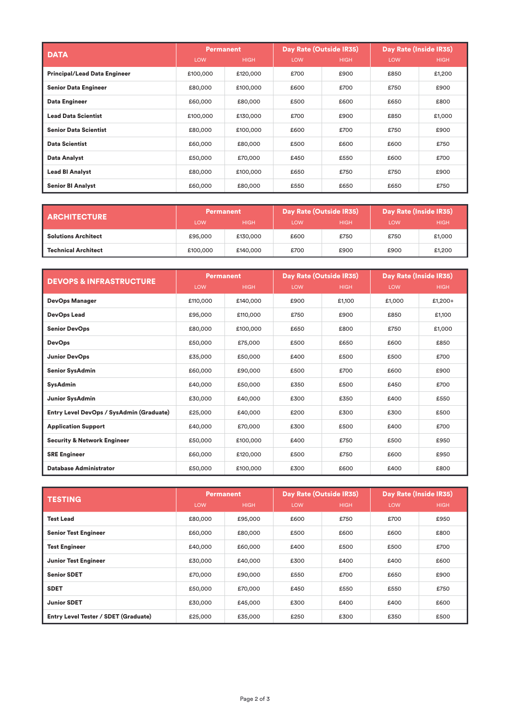| <b>DATA</b>                         | <b>Permanent</b> |             | Day Rate (Outside IR35) |             | Day Rate (Inside IR35) |             |
|-------------------------------------|------------------|-------------|-------------------------|-------------|------------------------|-------------|
|                                     | <b>LOW</b>       | <b>HIGH</b> | LOW                     | <b>HIGH</b> | LOW                    | <b>HIGH</b> |
| <b>Principal/Lead Data Engineer</b> | £100,000         | £120,000    | £700                    | £900        | £850                   | £1,200      |
| <b>Senior Data Engineer</b>         | £80,000          | £100,000    | £600                    | £700        | £750                   | £900        |
| Data Engineer                       | £60,000          | £80,000     | £500                    | £600        | £650                   | £800        |
| <b>Lead Data Scientist</b>          | £100,000         | £130,000    | £700                    | £900        | £850                   | £1,000      |
| <b>Senior Data Scientist</b>        | £80,000          | £100,000    | £600                    | £700        | £750                   | £900        |
| <b>Data Scientist</b>               | £60,000          | £80,000     | £500                    | £600        | £600                   | £750        |
| <b>Data Analyst</b>                 | £50,000          | £70,000     | £450                    | £550        | £600                   | £700        |
| <b>Lead BI Analyst</b>              | £80,000          | £100,000    | £650                    | £750        | £750                   | £900        |
| <b>Senior BI Analyst</b>            | £60,000          | £80,000     | £550                    | £650        | £650                   | £750        |

| <b>ARCHITECTURE</b>        | <b>Permanent</b> |             | Day Rate (Outside IR35) |             | Day Rate (Inside IR35) |             |
|----------------------------|------------------|-------------|-------------------------|-------------|------------------------|-------------|
|                            | <b>LOW</b>       | <b>HIGH</b> | LOW                     | <b>HIGH</b> | <b>LOW</b>             | <b>HIGH</b> |
| <b>Solutions Architect</b> | £95,000          | £130,000    | £600                    | £750        | £750                   | £1,000      |
| <b>Technical Architect</b> | £100,000         | £140,000    | £700                    | £900        | £900                   | £1,200      |

| <b>DEVOPS &amp; INFRASTRUCTURE</b>       | Permanent |             | Day Rate (Outside IR35) |             | Day Rate (Inside IR35) |             |
|------------------------------------------|-----------|-------------|-------------------------|-------------|------------------------|-------------|
|                                          | LOW       | <b>HIGH</b> | <b>LOW</b>              | <b>HIGH</b> | LOW                    | <b>HIGH</b> |
| <b>DevOps Manager</b>                    | £110,000  | £140,000    | £900                    | £1,100      | £1,000                 | £1,200+     |
| <b>DevOps Lead</b>                       | £95,000   | £110,000    | £750                    | £900        | £850                   | £1,100      |
| <b>Senior DevOps</b>                     | £80,000   | £100,000    | £650                    | £800        | £750                   | £1,000      |
| <b>DevOps</b>                            | £50,000   | £75,000     | £500                    | £650        | £600                   | £850        |
| <b>Junior DevOps</b>                     | £35,000   | £50,000     | £400                    | £500        | £500                   | £700        |
| <b>Senior SysAdmin</b>                   | £60,000   | £90,000     | £500                    | £700        | £600                   | £900        |
| <b>SysAdmin</b>                          | £40,000   | £50,000     | £350                    | £500        | £450                   | £700        |
| <b>Junior SysAdmin</b>                   | £30,000   | £40,000     | £300                    | £350        | £400                   | £550        |
| Entry Level DevOps / SysAdmin (Graduate) | £25,000   | £40,000     | £200                    | £300        | £300                   | £500        |
| <b>Application Support</b>               | £40,000   | £70,000     | £300                    | £500        | £400                   | £700        |
| <b>Security &amp; Network Engineer</b>   | £50,000   | £100,000    | £400                    | £750        | £500                   | £950        |
| <b>SRE Engineer</b>                      | £60,000   | £120,000    | £500                    | £750        | £600                   | £950        |
| <b>Database Administrator</b>            | £50,000   | £100,000    | £300                    | £600        | £400                   | £800        |

| <b>TESTING</b>                       | Permanent  |             | Day Rate (Outside IR35) |             | Day Rate (Inside IR35) |             |
|--------------------------------------|------------|-------------|-------------------------|-------------|------------------------|-------------|
|                                      | <b>LOW</b> | <b>HIGH</b> | LOW                     | <b>HIGH</b> | <b>LOW</b>             | <b>HIGH</b> |
| <b>Test Lead</b>                     | £80,000    | £95,000     | £600                    | £750        | £700                   | £950        |
| <b>Senior Test Engineer</b>          | £60,000    | £80,000     | £500                    | £600        | £600                   | £800        |
| <b>Test Engineer</b>                 | £40,000    | £60,000     | £400                    | £500        | £500                   | £700        |
| <b>Junior Test Engineer</b>          | £30,000    | £40,000     | £300                    | £400        | £400                   | £600        |
| <b>Senior SDET</b>                   | £70,000    | £90,000     | £550                    | £700        | £650                   | £900        |
| <b>SDET</b>                          | £50,000    | £70,000     | £450                    | £550        | £550                   | £750        |
| <b>Junior SDET</b>                   | £30,000    | £45,000     | £300                    | £400        | £400                   | £600        |
| Entry Level Tester / SDET (Graduate) | £25,000    | £35,000     | £250                    | £300        | £350                   | £500        |